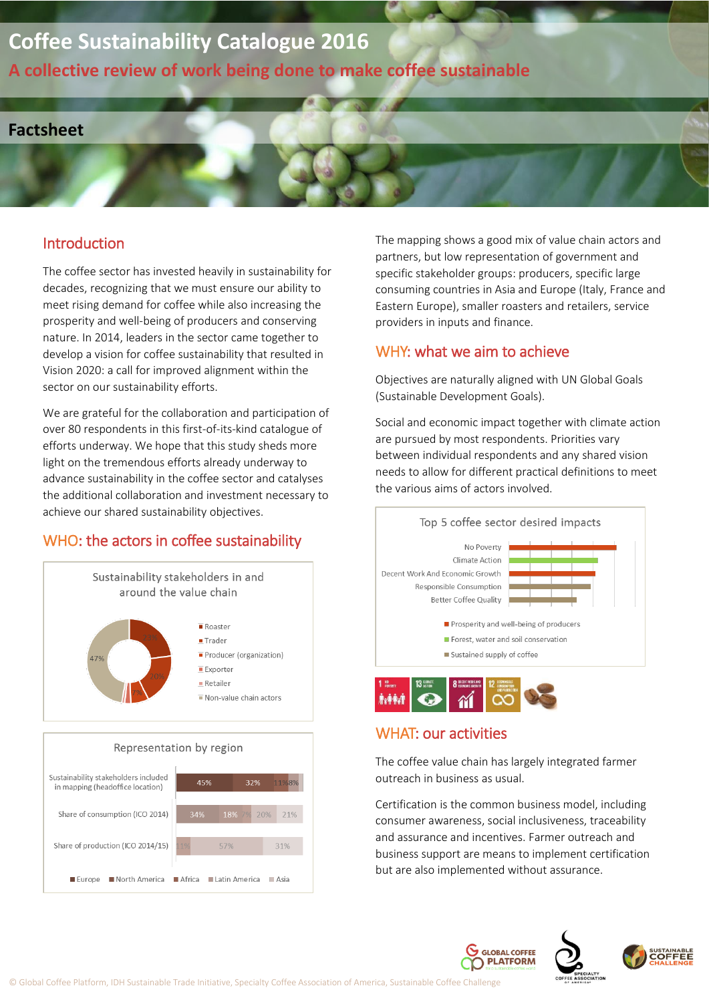# **Coffee Sustainability Catalogue 2016**

**A collective review of work being done to make coffee sustainable**

### **Factsheet**

#### Introduction

The coffee sector has invested heavily in sustainability for decades, recognizing that we must ensure our ability to meet rising demand for coffee while also increasing the prosperity and well-being of producers and conserving nature. In 2014, leaders in the sector came together to develop a vision for coffee sustainability that resulted in Vision 2020: a call for improved alignment within the sector on our sustainability efforts.

We are grateful for the collaboration and participation of over 80 respondents in this first-of-its-kind catalogue of efforts underway. We hope that this study sheds more light on the tremendous efforts already underway to advance sustainability in the coffee sector and catalyses the additional collaboration and investment necessary to achieve our shared sustainability objectives.

## WHO: the actors in coffee sustainability







The mapping shows a good mix of value chain actors and partners, but low representation of government and specific stakeholder groups: producers, specific large consuming countries in Asia and Europe (Italy, France and Eastern Europe), smaller roasters and retailers, service providers in inputs and finance.

#### WHY: what we aim to achieve

Objectives are naturally aligned with UN Global Goals (Sustainable Development Goals).

Social and economic impact together with climate action are pursued by most respondents. Priorities vary between individual respondents and any shared vision needs to allow for different practical definitions to meet the various aims of actors involved.



#### WHAT: our activities

The coffee value chain has largely integrated farmer outreach in business as usual.

Certification is the common business model, including consumer awareness, social inclusiveness, traceability and assurance and incentives. Farmer outreach and business support are means to implement certification but are also implemented without assurance.